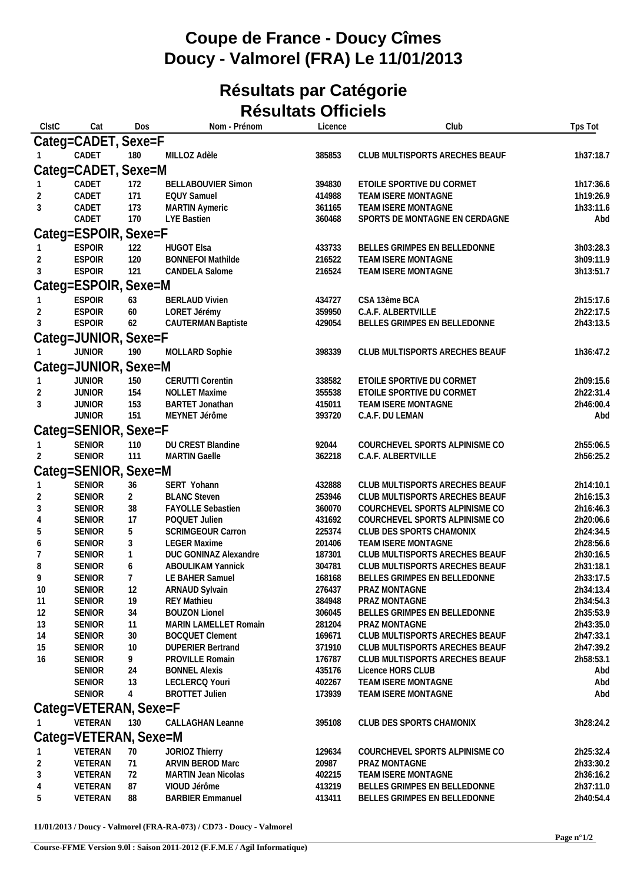## **Coupe de France - Doucy Cîmes Doucy - Valmorel (FRA) Le 11/01/2013**

## **Résultats par Catégorie Résultats Officiels**

| ClstC                | Cat                            | Dos                 | Nom - Prénom                                       | Licence          | Club                                                             | Tps Tot                |  |  |  |  |  |
|----------------------|--------------------------------|---------------------|----------------------------------------------------|------------------|------------------------------------------------------------------|------------------------|--|--|--|--|--|
|                      | Categ=CADET, Sexe=F            |                     |                                                    |                  |                                                                  |                        |  |  |  |  |  |
|                      | CADET                          | 180                 | MILLOZ Adèle                                       | 385853           | CLUB MULTISPORTS ARECHES BEAUF                                   | 1h37:18.7              |  |  |  |  |  |
|                      | Categ=CADET, Sexe=M            |                     |                                                    |                  |                                                                  |                        |  |  |  |  |  |
|                      | CADET                          | 172                 | <b>BELLABOUVIER Simon</b>                          | 394830           | ETOILE SPORTIVE DU CORMET                                        | 1h17:36.6              |  |  |  |  |  |
|                      | CADET                          | 171                 | <b>EQUY Samuel</b>                                 | 414988           | TEAM ISERE MONTAGNE                                              | 1h19:26.9              |  |  |  |  |  |
| 3                    | CADET                          | 173                 | <b>MARTIN Aymeric</b>                              | 361165           | TEAM ISERE MONTAGNE                                              | 1h33:11.6              |  |  |  |  |  |
|                      | CADET                          | 170                 | <b>LYE Bastien</b>                                 | 360468           | SPORTS DE MONTAGNE EN CERDAGNE                                   | Abd                    |  |  |  |  |  |
|                      | Categ=ESPOIR, Sexe=F           |                     |                                                    |                  |                                                                  |                        |  |  |  |  |  |
|                      | <b>ESPOIR</b>                  | 122                 | <b>HUGOT Elsa</b>                                  | 433733           | BELLES GRIMPES EN BELLEDONNE                                     | 3h03:28.3              |  |  |  |  |  |
|                      | <b>ESPOIR</b>                  | 120                 | <b>BONNEFOI Mathilde</b>                           | 216522           | TEAM ISERE MONTAGNE                                              | 3h09:11.9              |  |  |  |  |  |
| 3                    | <b>ESPOIR</b>                  | 121                 | CANDELA Salome                                     | 216524           | TEAM ISERE MONTAGNE                                              | 3h13:51.7              |  |  |  |  |  |
| Categ=ESPOIR, Sexe=M |                                |                     |                                                    |                  |                                                                  |                        |  |  |  |  |  |
|                      | <b>ESPOIR</b>                  | 63                  | <b>BERLAUD Vivien</b>                              | 434727           | CSA 13ème BCA                                                    | 2h15:17.6              |  |  |  |  |  |
|                      | <b>ESPOIR</b>                  | 60                  | LORET Jérémy                                       | 359950           | C.A.F. ALBERTVILLE                                               | 2h22:17.5              |  |  |  |  |  |
| 3                    | <b>ESPOIR</b>                  | 62                  | <b>CAUTERMAN Baptiste</b>                          | 429054           | BELLES GRIMPES EN BELLEDONNE                                     | 2h43:13.5              |  |  |  |  |  |
|                      | Categ=JUNIOR, Sexe=F           |                     |                                                    |                  |                                                                  |                        |  |  |  |  |  |
|                      | <b>JUNIOR</b>                  | 190                 | MOLLARD Sophie                                     | 398339           | CLUB MULTISPORTS ARECHES BEAUF                                   | 1h36:47.2              |  |  |  |  |  |
| Categ=JUNIOR, Sexe=M |                                |                     |                                                    |                  |                                                                  |                        |  |  |  |  |  |
|                      | <b>JUNIOR</b>                  | 150                 | <b>CERUTTI Corentin</b>                            | 338582           | ETOILE SPORTIVE DU CORMET                                        | 2h09:15.6              |  |  |  |  |  |
| 3                    | <b>JUNIOR</b><br><b>JUNIOR</b> | 154<br>153          | <b>NOLLET Maxime</b>                               | 355538           | ETOILE SPORTIVE DU CORMET<br>TEAM ISERE MONTAGNE                 | 2h22:31.4<br>2h46:00.4 |  |  |  |  |  |
|                      | <b>JUNIOR</b>                  | 151                 | <b>BARTET Jonathan</b><br>MEYNET Jérôme            | 415011<br>393720 | C.A.F. DU LEMAN                                                  | Abd                    |  |  |  |  |  |
|                      | Categ=SENIOR, Sexe=F           |                     |                                                    |                  |                                                                  |                        |  |  |  |  |  |
|                      | <b>SENIOR</b>                  |                     | DU CREST Blandine                                  | 92044            | COURCHEVEL SPORTS ALPINISME CO                                   | 2h55:06.5              |  |  |  |  |  |
| 2                    | <b>SENIOR</b>                  | 110<br>111          | <b>MARTIN Gaelle</b>                               | 362218           | C.A.F. ALBERTVILLE                                               | 2h56:25.2              |  |  |  |  |  |
|                      | Categ=SENIOR,                  | Sexe=M              |                                                    |                  |                                                                  |                        |  |  |  |  |  |
|                      | <b>SENIOR</b>                  | 36                  | SERT Yohann                                        | 432888           | CLUB MULTISPORTS ARECHES BEAUF                                   | 2h14:10.1              |  |  |  |  |  |
| 2                    | SENIOR                         | $\overline{2}$      | <b>BLANC Steven</b>                                | 253946           | CLUB MULTISPORTS ARECHES BEAUF                                   | 2h16:15.3              |  |  |  |  |  |
| 3                    | <b>SENIOR</b>                  | 38                  | <b>FAYOLLE Sebastien</b>                           | 360070           | COURCHEVEL SPORTS ALPINISME CO                                   | 2h16:46.3              |  |  |  |  |  |
| 4                    | SENIOR                         | 17                  | POQUET Julien                                      | 431692           | COURCHEVEL SPORTS ALPINISME CO                                   | 2h20:06.6              |  |  |  |  |  |
| 5                    | SENIOR                         | 5                   | SCRIMGEOUR Carron                                  | 225374           | CLUB DES SPORTS CHAMONIX                                         | 2h24:34.5              |  |  |  |  |  |
| 6                    | <b>SENIOR</b>                  | $\sqrt{3}$          | <b>LEGER Maxime</b>                                | 201406           | TEAM ISERE MONTAGNE                                              | 2h28:56.6              |  |  |  |  |  |
| 7                    | <b>SENIOR</b>                  | $\mathbf{1}$        | DUC GONINAZ Alexandre                              | 187301           | CLUB MULTISPORTS ARECHES BEAUF                                   | 2h30:16.5              |  |  |  |  |  |
| 8<br>9               | <b>SENIOR</b><br><b>SENIOR</b> | 6<br>$\overline{7}$ | <b>ABOULIKAM Yannick</b><br>LE BAHER Samuel        | 304781<br>168168 | CLUB MULTISPORTS ARECHES BEAUF<br>BELLES GRIMPES EN BELLEDONNE   | 2h31:18.1<br>2h33:17.5 |  |  |  |  |  |
| 10                   | <b>SENIOR</b>                  | 12                  | ARNAUD Sylvain                                     | 276437           | <b>PRAZ MONTAGNE</b>                                             | 2h34:13.4              |  |  |  |  |  |
| 11                   | <b>SENIOR</b>                  | 19                  | <b>REY Mathieu</b>                                 | 384948           | PRAZ MONTAGNE                                                    | 2h34:54.3              |  |  |  |  |  |
| 12                   | <b>SENIOR</b>                  | 34                  | <b>BOUZON Lionel</b>                               | 306045           | BELLES GRIMPES EN BELLEDONNE                                     | 2h35:53.9              |  |  |  |  |  |
| 13                   | <b>SENIOR</b>                  | 11                  | <b>MARIN LAMELLET Romain</b>                       | 281204           | PRAZ MONTAGNE                                                    | 2h43:35.0              |  |  |  |  |  |
| 14                   | <b>SENIOR</b>                  | 30                  | <b>BOCQUET Clement</b>                             | 169671           | CLUB MULTISPORTS ARECHES BEAUF                                   | 2h47:33.1              |  |  |  |  |  |
| 15<br>16             | <b>SENIOR</b><br><b>SENIOR</b> | 10<br>9             | <b>DUPERIER Bertrand</b><br><b>PROVILLE Romain</b> | 371910<br>176787 | CLUB MULTISPORTS ARECHES BEAUF<br>CLUB MULTISPORTS ARECHES BEAUF | 2h47:39.2<br>2h58:53.1 |  |  |  |  |  |
|                      | <b>SENIOR</b>                  | 24                  | <b>BONNEL Alexis</b>                               | 435176           | Licence HORS CLUB                                                | Abd                    |  |  |  |  |  |
|                      | <b>SENIOR</b>                  | 13                  | LECLERCQ Youri                                     | 402267           | TEAM ISERE MONTAGNE                                              | Abd                    |  |  |  |  |  |
|                      | <b>SENIOR</b>                  | $\overline{4}$      | <b>BROTTET Julien</b>                              | 173939           | TEAM ISERE MONTAGNE                                              | Abd                    |  |  |  |  |  |
|                      | Categ=VETERAN, Sexe=F          |                     |                                                    |                  |                                                                  |                        |  |  |  |  |  |
|                      | VETERAN                        | 130                 | <b>CALLAGHAN Leanne</b>                            | 395108           | CLUB DES SPORTS CHAMONIX                                         | 3h28:24.2              |  |  |  |  |  |
|                      | Categ=VETERAN, Sexe=M          |                     |                                                    |                  |                                                                  |                        |  |  |  |  |  |
|                      | VETERAN                        | 70                  | JORIOZ Thierry                                     | 129634           | COURCHEVEL SPORTS ALPINISME CO                                   | 2h25:32.4              |  |  |  |  |  |
| 2                    | VETERAN                        | 71                  | ARVIN BEROD Marc                                   | 20987            | PRAZ MONTAGNE                                                    | 2h33:30.2              |  |  |  |  |  |
| 3                    | VETERAN                        | 72                  | <b>MARTIN Jean Nicolas</b>                         | 402215           | TEAM ISERE MONTAGNE                                              | 2h36:16.2              |  |  |  |  |  |
| 4                    | VETERAN                        | 87                  | VIOUD Jérôme                                       | 413219           | BELLES GRIMPES EN BELLEDONNE                                     | 2h37:11.0              |  |  |  |  |  |
| 5                    | VETERAN                        | 88                  | <b>BARBIER Emmanuel</b>                            | 413411           | BELLES GRIMPES EN BELLEDONNE                                     | 2h40:54.4              |  |  |  |  |  |

**11/01/2013 / Doucy - Valmorel (FRA-RA-073) / CD73 - Doucy - Valmorel**